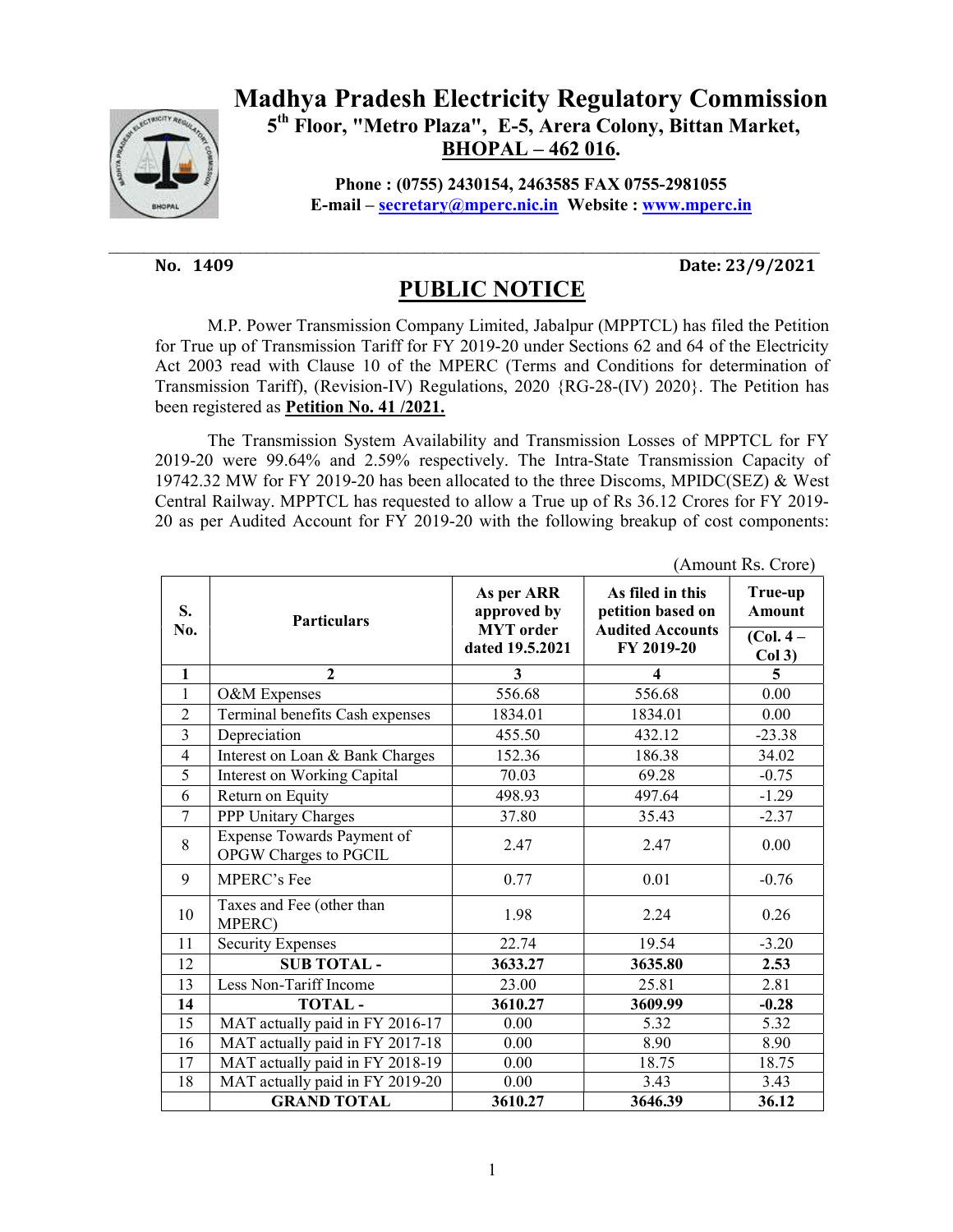

## Madhya Pradesh Electricity Regulatory Commission 5th Floor, "Metro Plaza", E-5, Arera Colony, Bittan Market, BHOPAL – 462 016.

Phone : (0755) 2430154, 2463585 FAX 0755-2981055 E-mail – secretary@mperc.nic.in Website : www.mperc.in

No. 1409 Date: 23/9/2021

## PUBLIC NOTICE

 M.P. Power Transmission Company Limited, Jabalpur (MPPTCL) has filed the Petition for True up of Transmission Tariff for FY 2019-20 under Sections 62 and 64 of the Electricity Act 2003 read with Clause 10 of the MPERC (Terms and Conditions for determination of Transmission Tariff), (Revision-IV) Regulations, 2020 {RG-28-(IV) 2020}. The Petition has been registered as Petition No. 41 /2021.

 The Transmission System Availability and Transmission Losses of MPPTCL for FY 2019-20 were 99.64% and 2.59% respectively. The Intra-State Transmission Capacity of 19742.32 MW for FY 2019-20 has been allocated to the three Discoms, MPIDC(SEZ) & West Central Railway. MPPTCL has requested to allow a True up of Rs 36.12 Crores for FY 2019- 20 as per Audited Account for FY 2019-20 with the following breakup of cost components:

|                | (Allioulit NS. Crofe)                               |                                                                  |                                                                                |                          |  |
|----------------|-----------------------------------------------------|------------------------------------------------------------------|--------------------------------------------------------------------------------|--------------------------|--|
| S.<br>No.      | <b>Particulars</b>                                  | As per ARR<br>approved by<br><b>MYT</b> order<br>dated 19.5.2021 | As filed in this<br>petition based on<br><b>Audited Accounts</b><br>FY 2019-20 | True-up<br><b>Amount</b> |  |
|                |                                                     |                                                                  |                                                                                | $(Col. 4 -$<br>Col3)     |  |
| $\mathbf{1}$   | $\overline{2}$                                      | 3                                                                | 4                                                                              | 5                        |  |
| $\mathbf{1}$   | O&M Expenses                                        | 556.68                                                           | 556.68                                                                         | 0.00                     |  |
| $\overline{2}$ | Terminal benefits Cash expenses                     | 1834.01                                                          | 1834.01                                                                        | 0.00                     |  |
| $\overline{3}$ | Depreciation                                        | 455.50                                                           | 432.12                                                                         | $-23.38$                 |  |
| $\overline{4}$ | Interest on Loan & Bank Charges                     | 152.36                                                           | 186.38                                                                         | 34.02                    |  |
| 5              | Interest on Working Capital                         | 70.03                                                            | 69.28                                                                          | $-0.75$                  |  |
| 6              | Return on Equity                                    | 498.93                                                           | 497.64                                                                         | $-1.29$                  |  |
| $\overline{7}$ | PPP Unitary Charges                                 | 37.80                                                            | 35.43                                                                          | $-2.37$                  |  |
| 8              | Expense Towards Payment of<br>OPGW Charges to PGCIL | 2.47                                                             | 2.47                                                                           | 0.00                     |  |
| 9              | <b>MPERC's Fee</b>                                  | 0.77                                                             | 0.01                                                                           | $-0.76$                  |  |
| 10             | Taxes and Fee (other than<br>MPERC)                 | 1.98                                                             | 2.24                                                                           | 0.26                     |  |
| 11             | <b>Security Expenses</b>                            | 22.74                                                            | 19.54                                                                          | $-3.20$                  |  |
| 12             | <b>SUB TOTAL-</b>                                   | 3633.27                                                          | 3635.80                                                                        | 2.53                     |  |
| 13             | Less Non-Tariff Income                              | 23.00                                                            | 25.81                                                                          | 2.81                     |  |
| 14             | <b>TOTAL-</b>                                       | 3610.27                                                          | 3609.99                                                                        | $-0.28$                  |  |
| 15             | MAT actually paid in FY 2016-17                     | 0.00                                                             | 5.32                                                                           | 5.32                     |  |
| 16             | MAT actually paid in FY 2017-18                     | 0.00                                                             | 8.90                                                                           | 8.90                     |  |
| 17             | MAT actually paid in FY 2018-19                     | 0.00                                                             | 18.75                                                                          | 18.75                    |  |
| 18             | MAT actually paid in FY 2019-20                     | 0.00                                                             | 3.43                                                                           | 3.43                     |  |
|                | <b>GRAND TOTAL</b>                                  | 3610.27                                                          | 3646.39                                                                        | 36.12                    |  |

(Amount Rs. Crore)